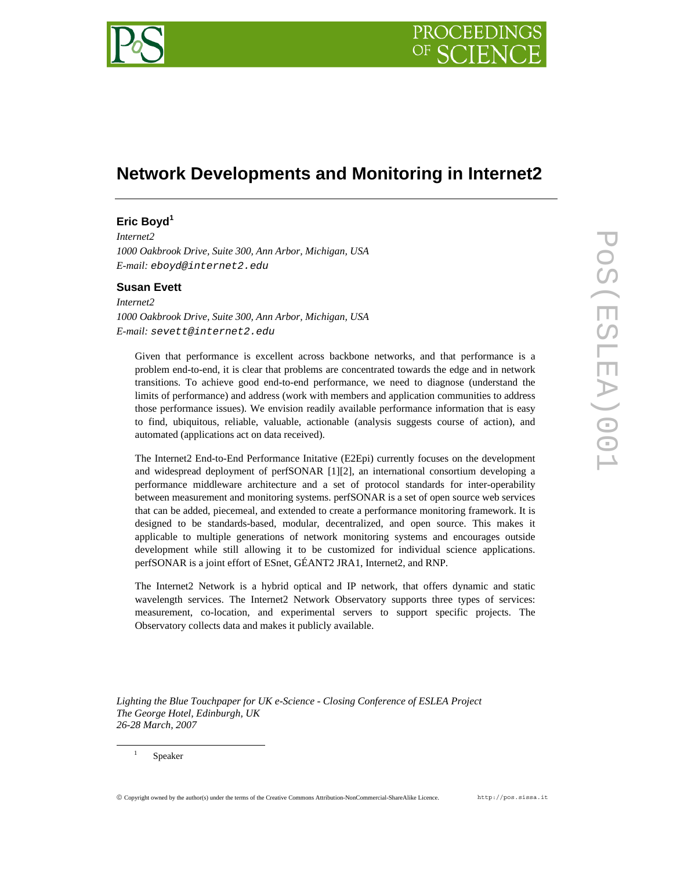

# **Network Developments and Monitoring in Internet2**

## **Eric Boyd<sup>1</sup>**

*Internet2 1000 Oakbrook Drive, Suite 300, Ann Arbor, Michigan, USA E-mail: eboyd@internet2.edu* 

## **Susan Evett**

*Internet2 1000 Oakbrook Drive, Suite 300, Ann Arbor, Michigan, USA E-mail: sevett@internet2.edu* 

Given that performance is excellent across backbone networks, and that performance is a problem end-to-end, it is clear that problems are concentrated towards the edge and in network transitions. To achieve good end-to-end performance, we need to diagnose (understand the limits of performance) and address (work with members and application communities to address those performance issues). We envision readily available performance information that is easy to find, ubiquitous, reliable, valuable, actionable (analysis suggests course of action), and automated (applications act on data received).

The Internet2 End-to-End Performance Initative (E2Epi) currently focuses on the development and widespread deployment of perfSONAR [1][2], an international consortium developing a performance middleware architecture and a set of protocol standards for inter-operability between measurement and monitoring systems. perfSONAR is a set of open source web services that can be added, piecemeal, and extended to create a performance monitoring framework. It is designed to be standards-based, modular, decentralized, and open source. This makes it applicable to multiple generations of network monitoring systems and encourages outside development while still allowing it to be customized for individual science applications. perfSONAR is a joint effort of ESnet, GÉANT2 JRA1, Internet2, and RNP.

The Internet2 Network is a hybrid optical and IP network, that offers dynamic and static wavelength services. The Internet2 Network Observatory supports three types of services: measurement, co-location, and experimental servers to support specific projects. The Observatory collects data and makes it publicly available.

*Lighting the Blue Touchpaper for UK e-Science - Closing Conference of ESLEA Project The George Hotel, Edinburgh, UK 26-28 March, 2007*

1

© Copyright owned by the author(s) under the terms of the Creative Commons Attribution-NonCommercial-ShareAlike Licence. http://pos.sissa.it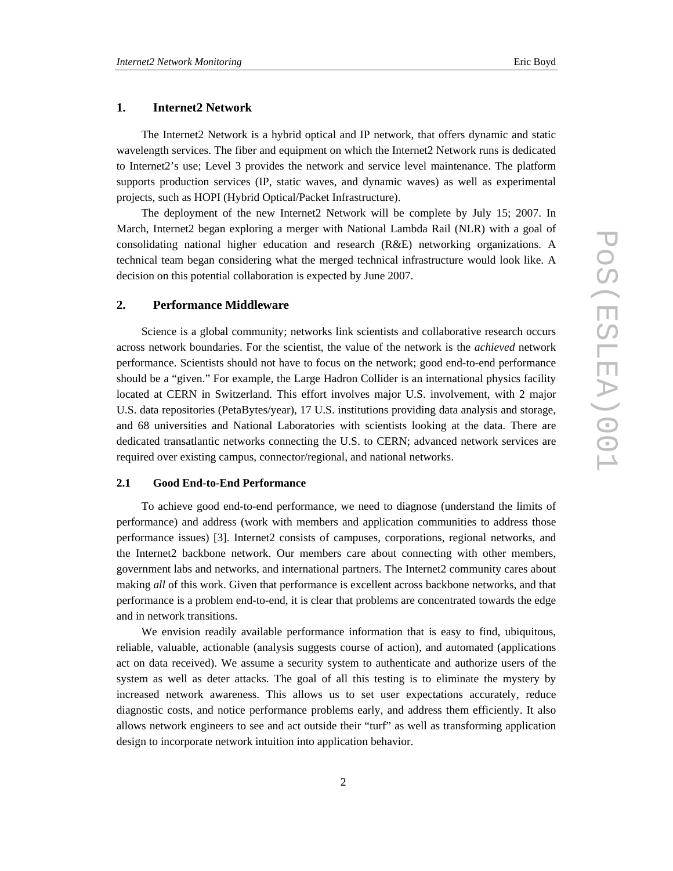## **1. Internet2 Network**

The Internet2 Network is a hybrid optical and IP network, that offers dynamic and static wavelength services. The fiber and equipment on which the Internet2 Network runs is dedicated to Internet2's use; Level 3 provides the network and service level maintenance. The platform supports production services (IP, static waves, and dynamic waves) as well as experimental projects, such as HOPI (Hybrid Optical/Packet Infrastructure).

The deployment of the new Internet2 Network will be complete by July 15; 2007. In March, Internet2 began exploring a merger with National Lambda Rail (NLR) with a goal of consolidating national higher education and research (R&E) networking organizations. A technical team began considering what the merged technical infrastructure would look like. A decision on this potential collaboration is expected by June 2007.

## **2. Performance Middleware**

Science is a global community; networks link scientists and collaborative research occurs across network boundaries. For the scientist, the value of the network is the *achieved* network performance. Scientists should not have to focus on the network; good end-to-end performance should be a "given." For example, the Large Hadron Collider is an international physics facility located at CERN in Switzerland. This effort involves major U.S. involvement, with 2 major U.S. data repositories (PetaBytes/year), 17 U.S. institutions providing data analysis and storage, and 68 universities and National Laboratories with scientists looking at the data. There are dedicated transatlantic networks connecting the U.S. to CERN; advanced network services are required over existing campus, connector/regional, and national networks.

## **2.1 Good End-to-End Performance**

To achieve good end-to-end performance, we need to diagnose (understand the limits of performance) and address (work with members and application communities to address those performance issues) [3]. Internet2 consists of campuses, corporations, regional networks, and the Internet2 backbone network. Our members care about connecting with other members, government labs and networks, and international partners. The Internet2 community cares about making *all* of this work. Given that performance is excellent across backbone networks, and that performance is a problem end-to-end, it is clear that problems are concentrated towards the edge and in network transitions.

We envision readily available performance information that is easy to find, ubiquitous, reliable, valuable, actionable (analysis suggests course of action), and automated (applications act on data received). We assume a security system to authenticate and authorize users of the system as well as deter attacks. The goal of all this testing is to eliminate the mystery by increased network awareness. This allows us to set user expectations accurately, reduce diagnostic costs, and notice performance problems early, and address them efficiently. It also allows network engineers to see and act outside their "turf" as well as transforming application design to incorporate network intuition into application behavior.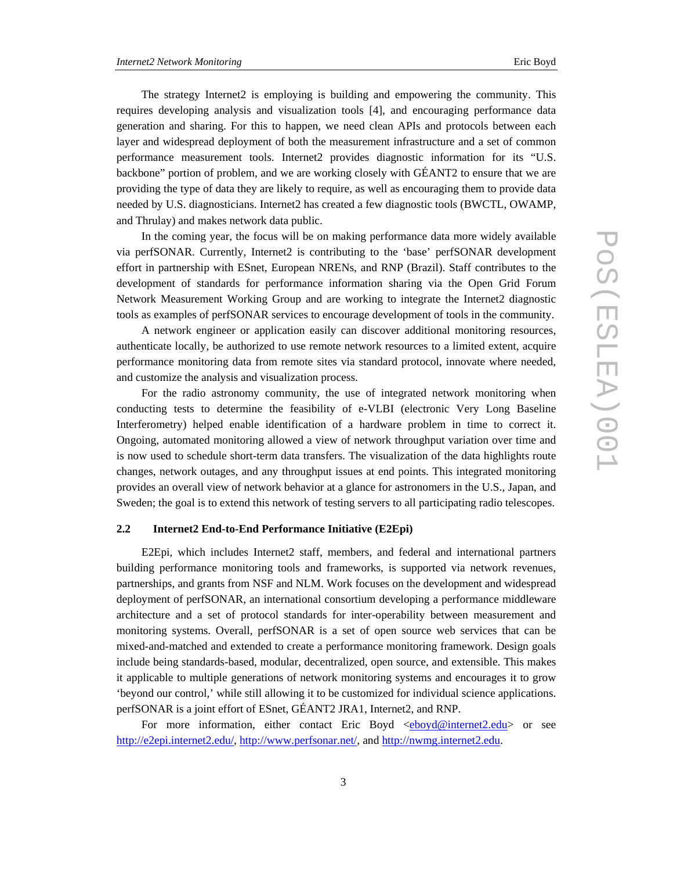layer and widespread deployment of both the measurement infrastructure and a set of common performance measurement tools. Internet2 provides diagnostic information for its "U.S. backbone" portion of problem, and we are working closely with GÉANT2 to ensure that we are providing the type of data they are likely to require, as well as encouraging them to provide data needed by U.S. diagnosticians. Internet2 has created a few diagnostic tools (BWCTL, OWAMP, and Thrulay) and makes network data public.

In the coming year, the focus will be on making performance data more widely available via perfSONAR. Currently, Internet2 is contributing to the 'base' perfSONAR development effort in partnership with ESnet, European NRENs, and RNP (Brazil). Staff contributes to the development of standards for performance information sharing via the Open Grid Forum Network Measurement Working Group and are working to integrate the Internet2 diagnostic tools as examples of perfSONAR services to encourage development of tools in the community.

A network engineer or application easily can discover additional monitoring resources, authenticate locally, be authorized to use remote network resources to a limited extent, acquire performance monitoring data from remote sites via standard protocol, innovate where needed, and customize the analysis and visualization process.

For the radio astronomy community, the use of integrated network monitoring when conducting tests to determine the feasibility of e-VLBI (electronic Very Long Baseline Interferometry) helped enable identification of a hardware problem in time to correct it. Ongoing, automated monitoring allowed a view of network throughput variation over time and is now used to schedule short-term data transfers. The visualization of the data highlights route changes, network outages, and any throughput issues at end points. This integrated monitoring provides an overall view of network behavior at a glance for astronomers in the U.S., Japan, and Sweden; the goal is to extend this network of testing servers to all participating radio telescopes.

## **2.2 Internet2 End-to-End Performance Initiative (E2Epi)**

E2Epi, which includes Internet2 staff, members, and federal and international partners building performance monitoring tools and frameworks, is supported via network revenues, partnerships, and grants from NSF and NLM. Work focuses on the development and widespread deployment of perfSONAR, an international consortium developing a performance middleware architecture and a set of protocol standards for inter-operability between measurement and monitoring systems. Overall, perfSONAR is a set of open source web services that can be mixed-and-matched and extended to create a performance monitoring framework. Design goals include being standards-based, modular, decentralized, open source, and extensible. This makes it applicable to multiple generations of network monitoring systems and encourages it to grow 'beyond our control,' while still allowing it to be customized for individual science applications. perfSONAR is a joint effort of ESnet, GÉANT2 JRA1, Internet2, and RNP.

For more information, either contact Eric Boyd <eboyd@internet2.edu> or see http://e2epi.internet2.edu/, http://www.perfsonar.net/, and http://nwmg.internet2.edu.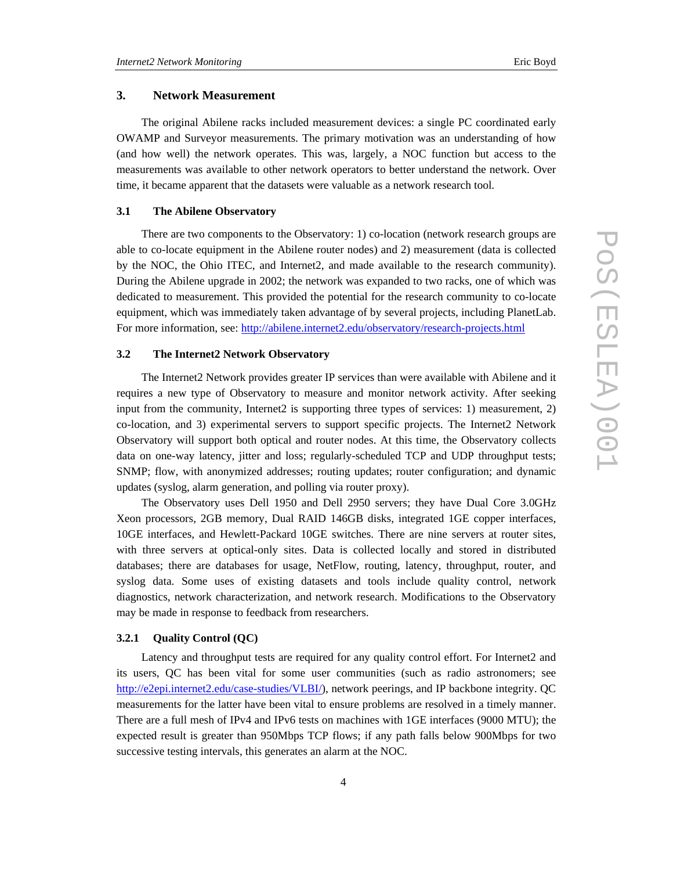## **3. Network Measurement**

The original Abilene racks included measurement devices: a single PC coordinated early OWAMP and Surveyor measurements. The primary motivation was an understanding of how (and how well) the network operates. This was, largely, a NOC function but access to the measurements was available to other network operators to better understand the network. Over time, it became apparent that the datasets were valuable as a network research tool.

### **3.1 The Abilene Observatory**

There are two components to the Observatory: 1) co-location (network research groups are able to co-locate equipment in the Abilene router nodes) and 2) measurement (data is collected by the NOC, the Ohio ITEC, and Internet2, and made available to the research community). During the Abilene upgrade in 2002; the network was expanded to two racks, one of which was dedicated to measurement. This provided the potential for the research community to co-locate equipment, which was immediately taken advantage of by several projects, including PlanetLab. For more information, see: http://abilene.internet2.edu/observatory/research-projects.html

### **3.2 The Internet2 Network Observatory**

The Internet2 Network provides greater IP services than were available with Abilene and it requires a new type of Observatory to measure and monitor network activity. After seeking input from the community, Internet2 is supporting three types of services: 1) measurement, 2) co-location, and 3) experimental servers to support specific projects. The Internet2 Network Observatory will support both optical and router nodes. At this time, the Observatory collects data on one-way latency, jitter and loss; regularly-scheduled TCP and UDP throughput tests; SNMP; flow, with anonymized addresses; routing updates; router configuration; and dynamic updates (syslog, alarm generation, and polling via router proxy).

The Observatory uses Dell 1950 and Dell 2950 servers; they have Dual Core 3.0GHz Xeon processors, 2GB memory, Dual RAID 146GB disks, integrated 1GE copper interfaces, 10GE interfaces, and Hewlett-Packard 10GE switches. There are nine servers at router sites, with three servers at optical-only sites. Data is collected locally and stored in distributed databases; there are databases for usage, NetFlow, routing, latency, throughput, router, and syslog data. Some uses of existing datasets and tools include quality control, network diagnostics, network characterization, and network research. Modifications to the Observatory may be made in response to feedback from researchers.

## **3.2.1 Quality Control (QC)**

Latency and throughput tests are required for any quality control effort. For Internet2 and its users, QC has been vital for some user communities (such as radio astronomers; see http://e2epi.internet2.edu/case-studies/VLBI/), network peerings, and IP backbone integrity. QC measurements for the latter have been vital to ensure problems are resolved in a timely manner. There are a full mesh of IPv4 and IPv6 tests on machines with 1GE interfaces (9000 MTU); the expected result is greater than 950Mbps TCP flows; if any path falls below 900Mbps for two successive testing intervals, this generates an alarm at the NOC.